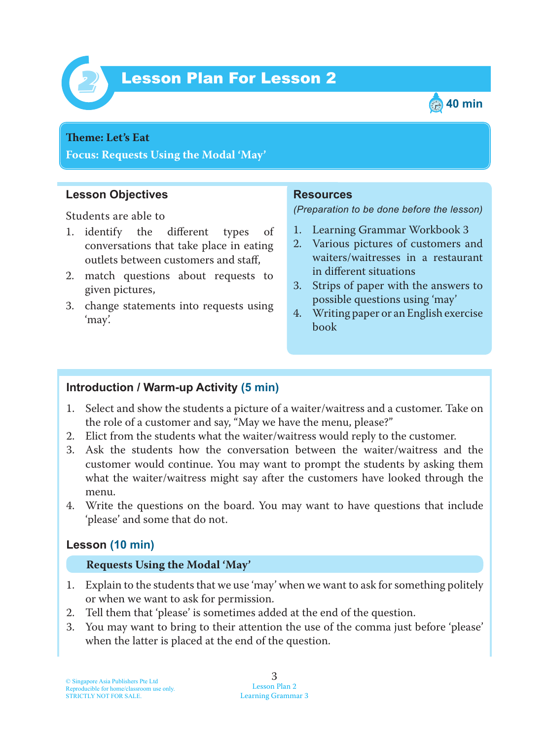

# Lesson Plan For Lesson 2 *2*



# **Teme : Let's Eat**

**Focus: Requests Using the Modal 'May'**

## **Lesson Objectives**

Students are able to

- 1. identify the different types of conversations that take place in eating outlets between customers and staff,
- 2. match questions about requests to given pictures,
- 3. change statements into requests using 'may'.

#### **Resources**

*(Preparation to be done before the lesson)*

- 1. Learning Grammar Workbook 3
- 2. Various pictures of customers and waiters/waitresses in a restaurant in different situations
- 3. Strips of paper with the answers to possible questions using 'may'
- 4. Writing paper or an English exercise book

## **Introduction / Warm-up Activity (5 min)**

- 1. Select and show the students a picture of a waiter/waitress and a customer. Take on the role of a customer and say, "May we have the menu, please?"
- 2. Elict from the students what the waiter/waitress would reply to the customer.
- 3. Ask the students how the conversation between the waiter/waitress and the customer would continue. You may want to prompt the students by asking them what the waiter/waitress might say after the customers have looked through the menu.
- 4. Write the questions on the board. You may want to have questions that include 'please' and some that do not.

## **Lesson (10 min)**

#### **Requests Using the Modal 'May'**

- 1. Explain to the students that we use 'may' when we want to ask for something politely or when we want to ask for permission.
- 2. Tell them that 'please' is sometimes added at the end of the question.
- 3. You may want to bring to their attention the use of the comma just before 'please' when the latter is placed at the end of the question.